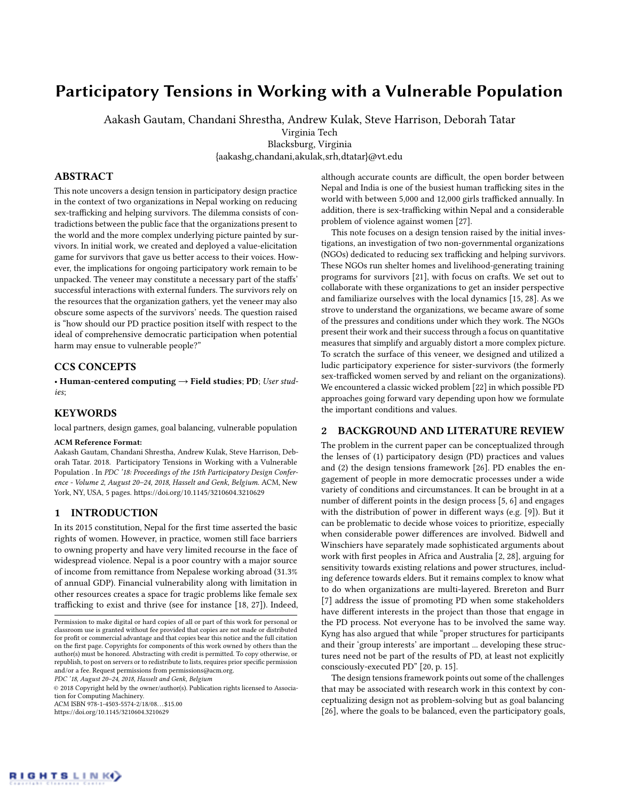# Participatory Tensions in Working with a Vulnerable Population

Aakash Gautam, Chandani Shrestha, Andrew Kulak, Steve Harrison, Deborah Tatar

Virginia Tech

Blacksburg, Virginia {aakashg,chandani,akulak,srh,dtatar}@vt.edu

## ABSTRACT

This note uncovers a design tension in participatory design practice in the context of two organizations in Nepal working on reducing sex-trafficking and helping survivors. The dilemma consists of contradictions between the public face that the organizations present to the world and the more complex underlying picture painted by survivors. In initial work, we created and deployed a value-elicitation game for survivors that gave us better access to their voices. However, the implications for ongoing participatory work remain to be unpacked. The veneer may constitute a necessary part of the staffs' successful interactions with external funders. The survivors rely on the resources that the organization gathers, yet the veneer may also obscure some aspects of the survivors' needs. The question raised is "how should our PD practice position itself with respect to the ideal of comprehensive democratic participation when potential harm may ensue to vulnerable people?"

## CCS CONCEPTS

• Human-centered computing  $\rightarrow$  Field studies; PD; User studies;

## **KEYWORDS**

local partners, design games, goal balancing, vulnerable population

#### ACM Reference Format:

Aakash Gautam, Chandani Shrestha, Andrew Kulak, Steve Harrison, Deborah Tatar. 2018. Participatory Tensions in Working with a Vulnerable Population . In PDC '18: Proceedings of the 15th Participatory Design Conference - Volume 2, August 20–24, 2018, Hasselt and Genk, Belgium. ACM, New York, NY, USA, [5](#page-4-0) pages.<https://doi.org/10.1145/3210604.3210629>

#### 1 INTRODUCTION

In its 2015 constitution, Nepal for the first time asserted the basic rights of women. However, in practice, women still face barriers to owning property and have very limited recourse in the face of widespread violence. Nepal is a poor country with a major source of income from remittance from Nepalese working abroad (31.3% of annual GDP). Financial vulnerability along with limitation in other resources creates a space for tragic problems like female sex trafficking to exist and thrive (see for instance [\[18,](#page-4-1) [27\]](#page-4-2)). Indeed,

PDC '18, August 20–24, 2018, Hasselt and Genk, Belgium

© 2018 Copyright held by the owner/author(s). Publication rights licensed to Association for Computing Machinery. ACM ISBN 978-1-4503-5574-2/18/08. . . \$15.00

<https://doi.org/10.1145/3210604.3210629>

although accurate counts are difficult, the open border between Nepal and India is one of the busiest human trafficking sites in the world with between 5,000 and 12,000 girls trafficked annually. In addition, there is sex-trafficking within Nepal and a considerable problem of violence against women [\[27\]](#page-4-2).

This note focuses on a design tension raised by the initial investigations, an investigation of two non-governmental organizations (NGOs) dedicated to reducing sex trafficking and helping survivors. These NGOs run shelter homes and livelihood-generating training programs for survivors [\[21\]](#page-4-3), with focus on crafts. We set out to collaborate with these organizations to get an insider perspective and familiarize ourselves with the local dynamics [\[15,](#page-4-4) [28\]](#page-4-5). As we strove to understand the organizations, we became aware of some of the pressures and conditions under which they work. The NGOs present their work and their success through a focus on quantitative measures that simplify and arguably distort a more complex picture. To scratch the surface of this veneer, we designed and utilized a ludic participatory experience for sister-survivors (the formerly sex-trafficked women served by and reliant on the organizations). We encountered a classic wicked problem [\[22\]](#page-4-6) in which possible PD approaches going forward vary depending upon how we formulate the important conditions and values.

#### 2 BACKGROUND AND LITERATURE REVIEW

The problem in the current paper can be conceptualized through the lenses of (1) participatory design (PD) practices and values and (2) the design tensions framework [\[26\]](#page-4-7). PD enables the engagement of people in more democratic processes under a wide variety of conditions and circumstances. It can be brought in at a number of different points in the design process [\[5,](#page-4-8) [6\]](#page-4-9) and engages with the distribution of power in different ways (e.g. [\[9\]](#page-4-10)). But it can be problematic to decide whose voices to prioritize, especially when considerable power differences are involved. Bidwell and Winschiers have separately made sophisticated arguments about work with first peoples in Africa and Australia [\[2,](#page-4-11) [28\]](#page-4-5), arguing for sensitivity towards existing relations and power structures, including deference towards elders. But it remains complex to know what to do when organizations are multi-layered. Brereton and Burr [\[7\]](#page-4-12) address the issue of promoting PD when some stakeholders have different interests in the project than those that engage in the PD process. Not everyone has to be involved the same way. Kyng has also argued that while "proper structures for participants and their 'group interests' are important ... developing these structures need not be part of the results of PD, at least not explicitly consciously-executed PD" [\[20,](#page-4-13) p. 15].

The design tensions framework points out some of the challenges that may be associated with research work in this context by conceptualizing design not as problem-solving but as goal balancing [\[26\]](#page-4-7), where the goals to be balanced, even the participatory goals,

Permission to make digital or hard copies of all or part of this work for personal or classroom use is granted without fee provided that copies are not made or distributed for profit or commercial advantage and that copies bear this notice and the full citation on the first page. Copyrights for components of this work owned by others than the author(s) must be honored. Abstracting with credit is permitted. To copy otherwise, or republish, to post on servers or to redistribute to lists, requires prior specific permission and/or a fee. Request permissions from permissions@acm.org.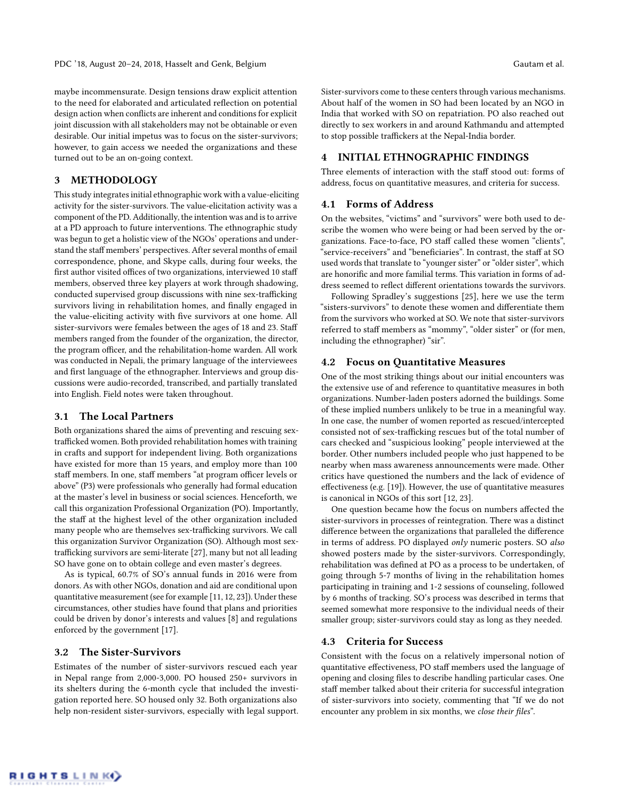maybe incommensurate. Design tensions draw explicit attention to the need for elaborated and articulated reflection on potential design action when conflicts are inherent and conditions for explicit joint discussion with all stakeholders may not be obtainable or even desirable. Our initial impetus was to focus on the sister-survivors; however, to gain access we needed the organizations and these turned out to be an on-going context.

## 3 METHODOLOGY

This study integrates initial ethnographic work with a value-eliciting activity for the sister-survivors. The value-elicitation activity was a component of the PD. Additionally, the intention was and is to arrive at a PD approach to future interventions. The ethnographic study was begun to get a holistic view of the NGOs' operations and understand the staff members' perspectives. After several months of email correspondence, phone, and Skype calls, during four weeks, the first author visited offices of two organizations, interviewed 10 staff members, observed three key players at work through shadowing, conducted supervised group discussions with nine sex-trafficking survivors living in rehabilitation homes, and finally engaged in the value-eliciting activity with five survivors at one home. All sister-survivors were females between the ages of 18 and 23. Staff members ranged from the founder of the organization, the director, the program officer, and the rehabilitation-home warden. All work was conducted in Nepali, the primary language of the interviewees and first language of the ethnographer. Interviews and group discussions were audio-recorded, transcribed, and partially translated into English. Field notes were taken throughout.

# 3.1 The Local Partners

Both organizations shared the aims of preventing and rescuing sextrafficked women. Both provided rehabilitation homes with training in crafts and support for independent living. Both organizations have existed for more than 15 years, and employ more than 100 staff members. In one, staff members "at program officer levels or above" (P3) were professionals who generally had formal education at the master's level in business or social sciences. Henceforth, we call this organization Professional Organization (PO). Importantly, the staff at the highest level of the other organization included many people who are themselves sex-trafficking survivors. We call this organization Survivor Organization (SO). Although most sextrafficking survivors are semi-literate [\[27\]](#page-4-2), many but not all leading SO have gone on to obtain college and even master's degrees.

As is typical, 60.7% of SO's annual funds in 2016 were from donors. As with other NGOs, donation and aid are conditional upon quantitative measurement (see for example [\[11,](#page-4-14) [12,](#page-4-15) [23\]](#page-4-16)). Under these circumstances, other studies have found that plans and priorities could be driven by donor's interests and values [\[8\]](#page-4-17) and regulations enforced by the government [\[17\]](#page-4-18).

#### 3.2 The Sister-Survivors

Estimates of the number of sister-survivors rescued each year in Nepal range from 2,000-3,000. PO housed 250+ survivors in its shelters during the 6-month cycle that included the investigation reported here. SO housed only 32. Both organizations also help non-resident sister-survivors, especially with legal support. Sister-survivors come to these centers through various mechanisms. About half of the women in SO had been located by an NGO in India that worked with SO on repatriation. PO also reached out directly to sex workers in and around Kathmandu and attempted to stop possible traffickers at the Nepal-India border.

#### 4 INITIAL ETHNOGRAPHIC FINDINGS

Three elements of interaction with the staff stood out: forms of address, focus on quantitative measures, and criteria for success.

## 4.1 Forms of Address

On the websites, "victims" and "survivors" were both used to describe the women who were being or had been served by the organizations. Face-to-face, PO staff called these women "clients", "service-receivers" and "beneficiaries". In contrast, the staff at SO used words that translate to "younger sister" or "older sister", which are honorific and more familial terms. This variation in forms of address seemed to reflect different orientations towards the survivors.

Following Spradley's suggestions [\[25\]](#page-4-19), here we use the term "sisters-survivors" to denote these women and differentiate them from the survivors who worked at SO. We note that sister-survivors referred to staff members as "mommy", "older sister" or (for men, including the ethnographer) "sir".

#### 4.2 Focus on Quantitative Measures

One of the most striking things about our initial encounters was the extensive use of and reference to quantitative measures in both organizations. Number-laden posters adorned the buildings. Some of these implied numbers unlikely to be true in a meaningful way. In one case, the number of women reported as rescued/intercepted consisted not of sex-trafficking rescues but of the total number of cars checked and "suspicious looking" people interviewed at the border. Other numbers included people who just happened to be nearby when mass awareness announcements were made. Other critics have questioned the numbers and the lack of evidence of effectiveness (e.g. [\[19\]](#page-4-20)). However, the use of quantitative measures is canonical in NGOs of this sort [\[12,](#page-4-15) [23\]](#page-4-16).

One question became how the focus on numbers affected the sister-survivors in processes of reintegration. There was a distinct difference between the organizations that paralleled the difference in terms of address. PO displayed only numeric posters. SO also showed posters made by the sister-survivors. Correspondingly, rehabilitation was defined at PO as a process to be undertaken, of going through 5-7 months of living in the rehabilitation homes participating in training and 1-2 sessions of counseling, followed by 6 months of tracking. SO's process was described in terms that seemed somewhat more responsive to the individual needs of their smaller group; sister-survivors could stay as long as they needed.

#### 4.3 Criteria for Success

Consistent with the focus on a relatively impersonal notion of quantitative effectiveness, PO staff members used the language of opening and closing files to describe handling particular cases. One staff member talked about their criteria for successful integration of sister-survivors into society, commenting that "If we do not encounter any problem in six months, we close their files".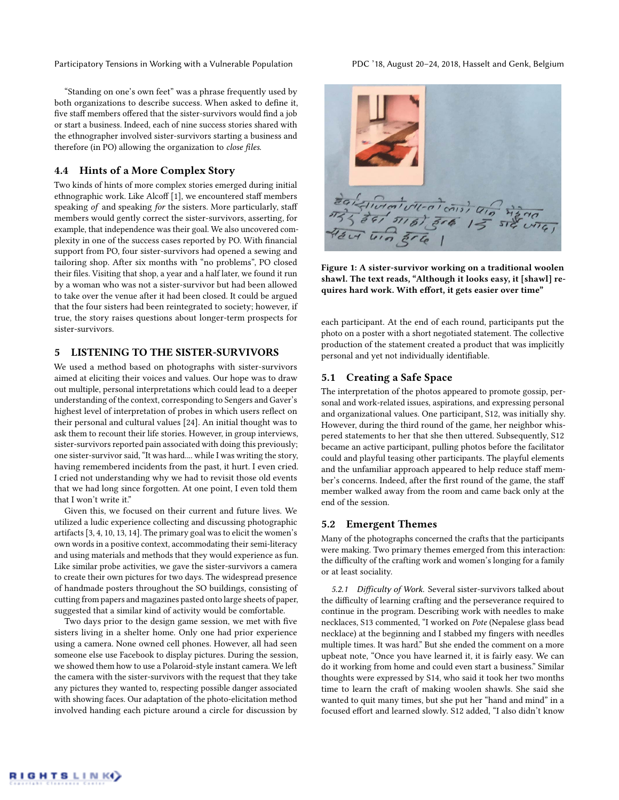Participatory Tensions in Working with a Vulnerable Population PDC '18, August 20-24, 2018, Hasselt and Genk, Belgium

"Standing on one's own feet" was a phrase frequently used by both organizations to describe success. When asked to define it, five staff members offered that the sister-survivors would find a job or start a business. Indeed, each of nine success stories shared with the ethnographer involved sister-survivors starting a business and therefore (in PO) allowing the organization to close files.

## 4.4 Hints of a More Complex Story

Two kinds of hints of more complex stories emerged during initial ethnographic work. Like Alcoff [\[1\]](#page-4-21), we encountered staff members speaking of and speaking for the sisters. More particularly, staff members would gently correct the sister-survivors, asserting, for example, that independence was their goal. We also uncovered complexity in one of the success cases reported by PO. With financial support from PO, four sister-survivors had opened a sewing and tailoring shop. After six months with "no problems", PO closed their files. Visiting that shop, a year and a half later, we found it run by a woman who was not a sister-survivor but had been allowed to take over the venue after it had been closed. It could be argued that the four sisters had been reintegrated to society; however, if true, the story raises questions about longer-term prospects for sister-survivors.

# 5 LISTENING TO THE SISTER-SURVIVORS

We used a method based on photographs with sister-survivors aimed at eliciting their voices and values. Our hope was to draw out multiple, personal interpretations which could lead to a deeper understanding of the context, corresponding to Sengers and Gaver's highest level of interpretation of probes in which users reflect on their personal and cultural values [\[24\]](#page-4-22). An initial thought was to ask them to recount their life stories. However, in group interviews, sister-survivors reported pain associated with doing this previously; one sister-survivor said, "It was hard.... while I was writing the story, having remembered incidents from the past, it hurt. I even cried. I cried not understanding why we had to revisit those old events that we had long since forgotten. At one point, I even told them that I won't write it."

Given this, we focused on their current and future lives. We utilized a ludic experience collecting and discussing photographic artifacts [\[3,](#page-4-23) [4,](#page-4-24) [10,](#page-4-25) [13,](#page-4-26) [14\]](#page-4-27). The primary goal was to elicit the women's own words in a positive context, accommodating their semi-literacy and using materials and methods that they would experience as fun. Like similar probe activities, we gave the sister-survivors a camera to create their own pictures for two days. The widespread presence of handmade posters throughout the SO buildings, consisting of cutting from papers and magazines pasted onto large sheets of paper, suggested that a similar kind of activity would be comfortable.

Two days prior to the design game session, we met with five sisters living in a shelter home. Only one had prior experience using a camera. None owned cell phones. However, all had seen someone else use Facebook to display pictures. During the session, we showed them how to use a Polaroid-style instant camera. We left the camera with the sister-survivors with the request that they take any pictures they wanted to, respecting possible danger associated with showing faces. Our adaptation of the photo-elicitation method involved handing each picture around a circle for discussion by

<span id="page-2-0"></span>

Figure 1: A sister-survivor working on a traditional woolen shawl. The text reads, "Although it looks easy, it [shawl] requires hard work. With effort, it gets easier over time"

each participant. At the end of each round, participants put the photo on a poster with a short negotiated statement. The collective production of the statement created a product that was implicitly personal and yet not individually identifiable.

## 5.1 Creating a Safe Space

The interpretation of the photos appeared to promote gossip, personal and work-related issues, aspirations, and expressing personal and organizational values. One participant, S12, was initially shy. However, during the third round of the game, her neighbor whispered statements to her that she then uttered. Subsequently, S12 became an active participant, pulling photos before the facilitator could and playful teasing other participants. The playful elements and the unfamiliar approach appeared to help reduce staff member's concerns. Indeed, after the first round of the game, the staff member walked away from the room and came back only at the end of the session.

#### 5.2 Emergent Themes

Many of the photographs concerned the crafts that the participants were making. Two primary themes emerged from this interaction: the difficulty of the crafting work and women's longing for a family or at least sociality.

5.2.1 Difficulty of Work. Several sister-survivors talked about the difficulty of learning crafting and the perseverance required to continue in the program. Describing work with needles to make necklaces, S13 commented, "I worked on Pote (Nepalese glass bead necklace) at the beginning and I stabbed my fingers with needles multiple times. It was hard." But she ended the comment on a more upbeat note, "Once you have learned it, it is fairly easy. We can do it working from home and could even start a business." Similar thoughts were expressed by S14, who said it took her two months time to learn the craft of making woolen shawls. She said she wanted to quit many times, but she put her "hand and mind" in a focused effort and learned slowly. S12 added, "I also didn't know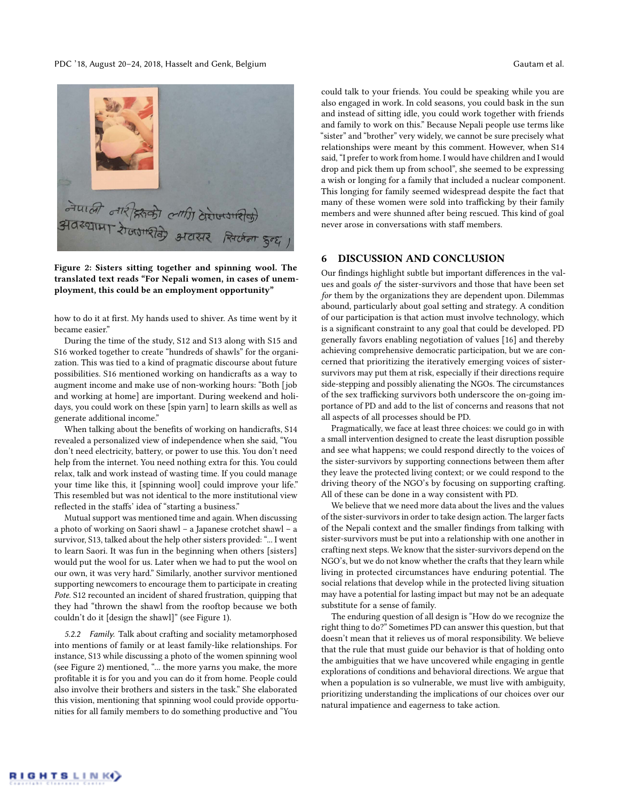PDC '18, August 20–24, 2018, Hasselt and Genk, Belgium Gautam et al.

<span id="page-3-0"></span>

Figure 2: Sisters sitting together and spinning wool. The translated text reads "For Nepali women, in cases of unemployment, this could be an employment opportunity"

how to do it at first. My hands used to shiver. As time went by it became easier."

During the time of the study, S12 and S13 along with S15 and S16 worked together to create "hundreds of shawls" for the organization. This was tied to a kind of pragmatic discourse about future possibilities. S16 mentioned working on handicrafts as a way to augment income and make use of non-working hours: "Both [job and working at home] are important. During weekend and holidays, you could work on these [spin yarn] to learn skills as well as generate additional income."

When talking about the benefits of working on handicrafts, S14 revealed a personalized view of independence when she said, "You don't need electricity, battery, or power to use this. You don't need help from the internet. You need nothing extra for this. You could relax, talk and work instead of wasting time. If you could manage your time like this, it [spinning wool] could improve your life." This resembled but was not identical to the more institutional view reflected in the staffs' idea of "starting a business."

Mutual support was mentioned time and again. When discussing a photo of working on Saori shawl – a Japanese crotchet shawl – a survivor, S13, talked about the help other sisters provided: "... I went to learn Saori. It was fun in the beginning when others [sisters] would put the wool for us. Later when we had to put the wool on our own, it was very hard." Similarly, another survivor mentioned supporting newcomers to encourage them to participate in creating Pote. S12 recounted an incident of shared frustration, quipping that they had "thrown the shawl from the rooftop because we both couldn't do it [design the shawl]" (see Figure [1\)](#page-2-0).

5.2.2 Family. Talk about crafting and sociality metamorphosed into mentions of family or at least family-like relationships. For instance, S13 while discussing a photo of the women spinning wool (see Figure [2\)](#page-3-0) mentioned, "... the more yarns you make, the more profitable it is for you and you can do it from home. People could also involve their brothers and sisters in the task." She elaborated this vision, mentioning that spinning wool could provide opportunities for all family members to do something productive and "You

could talk to your friends. You could be speaking while you are also engaged in work. In cold seasons, you could bask in the sun and instead of sitting idle, you could work together with friends and family to work on this." Because Nepali people use terms like "sister" and "brother" very widely, we cannot be sure precisely what relationships were meant by this comment. However, when S14 said, "I prefer to work from home. I would have children and I would drop and pick them up from school", she seemed to be expressing a wish or longing for a family that included a nuclear component. This longing for family seemed widespread despite the fact that many of these women were sold into trafficking by their family members and were shunned after being rescued. This kind of goal never arose in conversations with staff members.

## 6 DISCUSSION AND CONCLUSION

Our findings highlight subtle but important differences in the values and goals of the sister-survivors and those that have been set for them by the organizations they are dependent upon. Dilemmas abound, particularly about goal setting and strategy. A condition of our participation is that action must involve technology, which is a significant constraint to any goal that could be developed. PD generally favors enabling negotiation of values [\[16\]](#page-4-28) and thereby achieving comprehensive democratic participation, but we are concerned that prioritizing the iteratively emerging voices of sistersurvivors may put them at risk, especially if their directions require side-stepping and possibly alienating the NGOs. The circumstances of the sex trafficking survivors both underscore the on-going importance of PD and add to the list of concerns and reasons that not all aspects of all processes should be PD.

Pragmatically, we face at least three choices: we could go in with a small intervention designed to create the least disruption possible and see what happens; we could respond directly to the voices of the sister-survivors by supporting connections between them after they leave the protected living context; or we could respond to the driving theory of the NGO's by focusing on supporting crafting. All of these can be done in a way consistent with PD.

We believe that we need more data about the lives and the values of the sister-survivors in order to take design action. The larger facts of the Nepali context and the smaller findings from talking with sister-survivors must be put into a relationship with one another in crafting next steps. We know that the sister-survivors depend on the NGO's, but we do not know whether the crafts that they learn while living in protected circumstances have enduring potential. The social relations that develop while in the protected living situation may have a potential for lasting impact but may not be an adequate substitute for a sense of family.

The enduring question of all design is "How do we recognize the right thing to do?" Sometimes PD can answer this question, but that doesn't mean that it relieves us of moral responsibility. We believe that the rule that must guide our behavior is that of holding onto the ambiguities that we have uncovered while engaging in gentle explorations of conditions and behavioral directions. We argue that when a population is so vulnerable, we must live with ambiguity, prioritizing understanding the implications of our choices over our natural impatience and eagerness to take action.